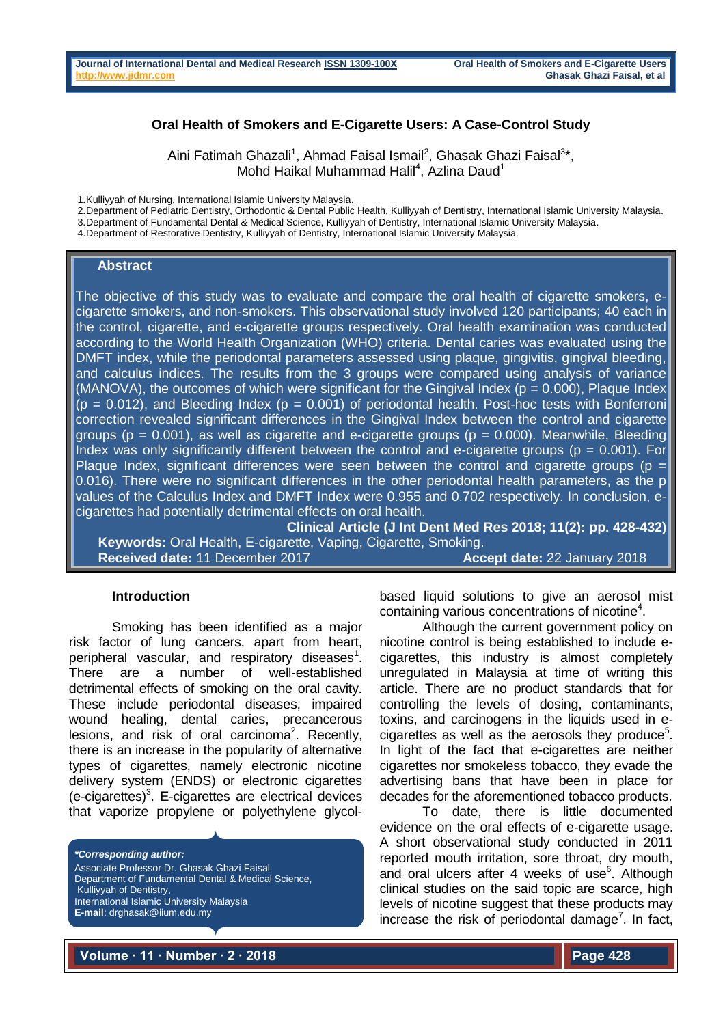### **Oral Health of Smokers and E-Cigarette Users: A Case-Control Study**

Aini Fatimah Ghazali<sup>1</sup>, Ahmad Faisal Ismail<sup>2</sup>, Ghasak Ghazi Faisal<sup>3</sup>\*, Mohd Haikal Muhammad Halil<sup>4</sup>, Azlina Daud<sup>1</sup>

1.Kulliyyah of Nursing, International Islamic University Malaysia.

2.Department of Pediatric Dentistry, Orthodontic & Dental Public Health, Kulliyyah of Dentistry, International Islamic University Malaysia.

3.Department of Fundamental Dental & Medical Science, Kulliyyah of Dentistry, International Islamic University Malaysia.

4.Department of Restorative Dentistry, Kulliyyah of Dentistry, International Islamic University Malaysia.

#### **Abstract**

The objective of this study was to evaluate and compare the oral health of cigarette smokers, ecigarette smokers, and non-smokers. This observational study involved 120 participants; 40 each in the control, cigarette, and e-cigarette groups respectively. Oral health examination was conducted according to the World Health Organization (WHO) criteria. Dental caries was evaluated using the DMFT index, while the periodontal parameters assessed using plaque, gingivitis, gingival bleeding, and calculus indices. The results from the 3 groups were compared using analysis of variance (MANOVA), the outcomes of which were significant for the Gingival Index ( $p = 0.000$ ), Plaque Index  $(p = 0.012)$ , and Bleeding Index  $(p = 0.001)$  of periodontal health. Post-hoc tests with Bonferroni correction revealed significant differences in the Gingival Index between the control and cigarette groups ( $p = 0.001$ ), as well as cigarette and e-cigarette groups ( $p = 0.000$ ). Meanwhile, Bleeding Index was only significantly different between the control and e-cigarette groups ( $p = 0.001$ ). For Plaque Index, significant differences were seen between the control and cigarette groups ( $p =$ 0.016). There were no significant differences in the other periodontal health parameters, as the p values of the Calculus Index and DMFT Index were 0.955 and 0.702 respectively. In conclusion, ecigarettes had potentially detrimental effects on oral health.

**Clinical Article (J Int Dent Med Res 2018; 11(2): pp. 428-432) Keywords:** Oral Health, E-cigarette, Vaping, Cigarette, Smoking. **Received date:** 11 December 2017 **Accept date:** 22 January 2018

#### **Introduction**

Smoking has been identified as a major risk factor of lung cancers, apart from heart, peripheral vascular, and respiratory diseases $1$ . There are a number of well-established detrimental effects of smoking on the oral cavity. These include periodontal diseases, impaired wound healing, dental caries, precancerous lesions, and risk of oral carcinoma<sup>2</sup>. Recently, there is an increase in the popularity of alternative types of cigarettes, namely electronic nicotine delivery system (ENDS) or electronic cigarettes (e-cigarettes)<sup>3</sup>. E-cigarettes are electrical devices that vaporize propylene or polyethylene glycol-

*\*Corresponding author:*

Associate Professor Dr. Ghasak Ghazi Faisal Department of Fundamental Dental & Medical Science, Kulliyyah of Dentistry, International Islamic University Malaysia **E-mail**: drghasak@iium.edu.my

based liquid solutions to give an aerosol mist containing various concentrations of nicotine<sup>4</sup>.

Although the current government policy on nicotine control is being established to include ecigarettes, this industry is almost completely unregulated in Malaysia at time of writing this article. There are no product standards that for controlling the levels of dosing, contaminants, toxins, and carcinogens in the liquids used in e $cigare$ ttes as well as the aerosols they produce $5$ . In light of the fact that e-cigarettes are neither cigarettes nor smokeless tobacco, they evade the advertising bans that have been in place for decades for the aforementioned tobacco products.

To date, there is little documented evidence on the oral effects of e-cigarette usage. A short observational study conducted in 2011 reported mouth irritation, sore throat, dry mouth, and oral ulcers after 4 weeks of use $6$ . Although clinical studies on the said topic are scarce, high levels of nicotine suggest that these products may increase the risk of periodontal damage<sup>7</sup>. In fact,

**Volume ∙ 11 ∙ Number ∙ 2 ∙ 2018 Page 428**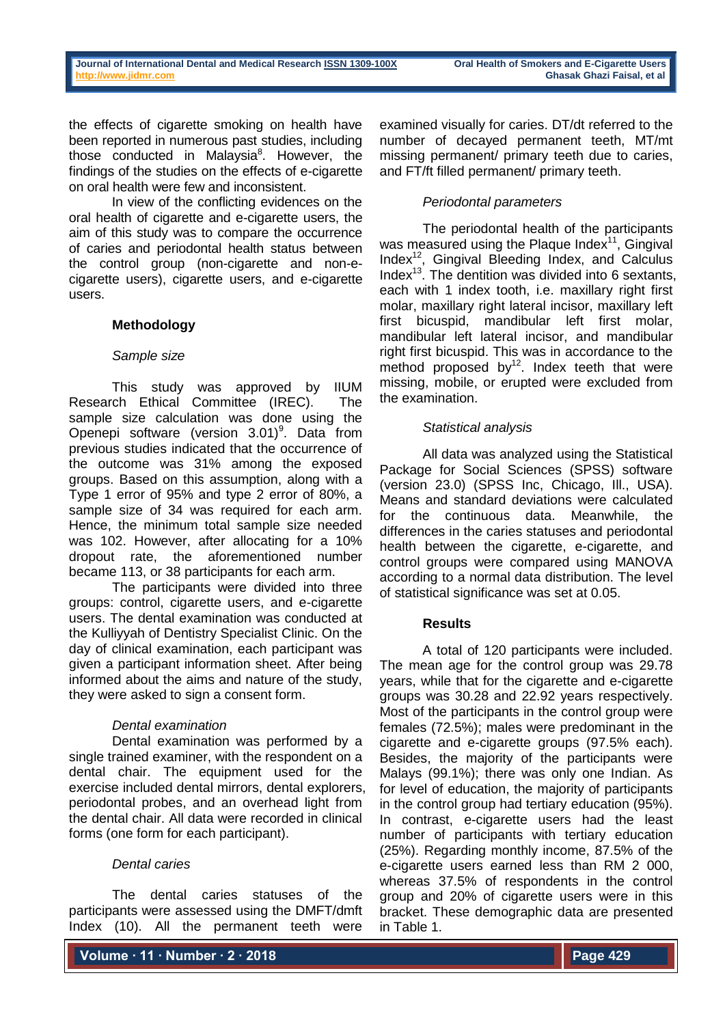the effects of cigarette smoking on health have been reported in numerous past studies, including those conducted in Malaysia<sup>8</sup>. However, the findings of the studies on the effects of e-cigarette on oral health were few and inconsistent.

In view of the conflicting evidences on the oral health of cigarette and e-cigarette users, the aim of this study was to compare the occurrence of caries and periodontal health status between the control group (non-cigarette and non-ecigarette users), cigarette users, and e-cigarette users.

# **Methodology**

## *Sample size*

This study was approved by IIUM Research Ethical Committee (IREC). The sample size calculation was done using the Openepi software (version  $3.01$ <sup>9</sup>. Data from previous studies indicated that the occurrence of the outcome was 31% among the exposed groups. Based on this assumption, along with a Type 1 error of 95% and type 2 error of 80%, a sample size of 34 was required for each arm. Hence, the minimum total sample size needed was 102. However, after allocating for a 10% dropout rate, the aforementioned number became 113, or 38 participants for each arm.

The participants were divided into three groups: control, cigarette users, and e-cigarette users. The dental examination was conducted at the Kulliyyah of Dentistry Specialist Clinic. On the day of clinical examination, each participant was given a participant information sheet. After being informed about the aims and nature of the study, they were asked to sign a consent form.

## *Dental examination*

Dental examination was performed by a single trained examiner, with the respondent on a dental chair. The equipment used for the exercise included dental mirrors, dental explorers, periodontal probes, and an overhead light from the dental chair. All data were recorded in clinical forms (one form for each participant).

## *Dental caries*

The dental caries statuses of the participants were assessed using the DMFT/dmft Index (10). All the permanent teeth were

examined visually for caries. DT/dt referred to the number of decayed permanent teeth, MT/mt missing permanent/ primary teeth due to caries, and FT/ft filled permanent/ primary teeth.

## *Periodontal parameters*

The periodontal health of the participants was measured using the Plaque Index $11$ , Gingival Index<sup>12</sup>, Gingival Bleeding Index, and Calculus Index $^{13}$ . The dentition was divided into 6 sextants, each with 1 index tooth, i.e. maxillary right first molar, maxillary right lateral incisor, maxillary left first bicuspid, mandibular left first molar, mandibular left lateral incisor, and mandibular right first bicuspid. This was in accordance to the method proposed by $12$ . Index teeth that were missing, mobile, or erupted were excluded from the examination.

## *Statistical analysis*

All data was analyzed using the Statistical Package for Social Sciences (SPSS) software (version 23.0) (SPSS Inc, Chicago, Ill., USA). Means and standard deviations were calculated for the continuous data. Meanwhile, the differences in the caries statuses and periodontal health between the cigarette, e-cigarette, and control groups were compared using MANOVA according to a normal data distribution. The level of statistical significance was set at 0.05.

# **Results**

A total of 120 participants were included. The mean age for the control group was 29.78 years, while that for the cigarette and e-cigarette groups was 30.28 and 22.92 years respectively. Most of the participants in the control group were females (72.5%); males were predominant in the cigarette and e-cigarette groups (97.5% each). Besides, the majority of the participants were Malays (99.1%); there was only one Indian. As for level of education, the majority of participants in the control group had tertiary education (95%). In contrast, e-cigarette users had the least number of participants with tertiary education (25%). Regarding monthly income, 87.5% of the e-cigarette users earned less than RM 2 000, whereas 37.5% of respondents in the control group and 20% of cigarette users were in this bracket. These demographic data are presented in Table 1.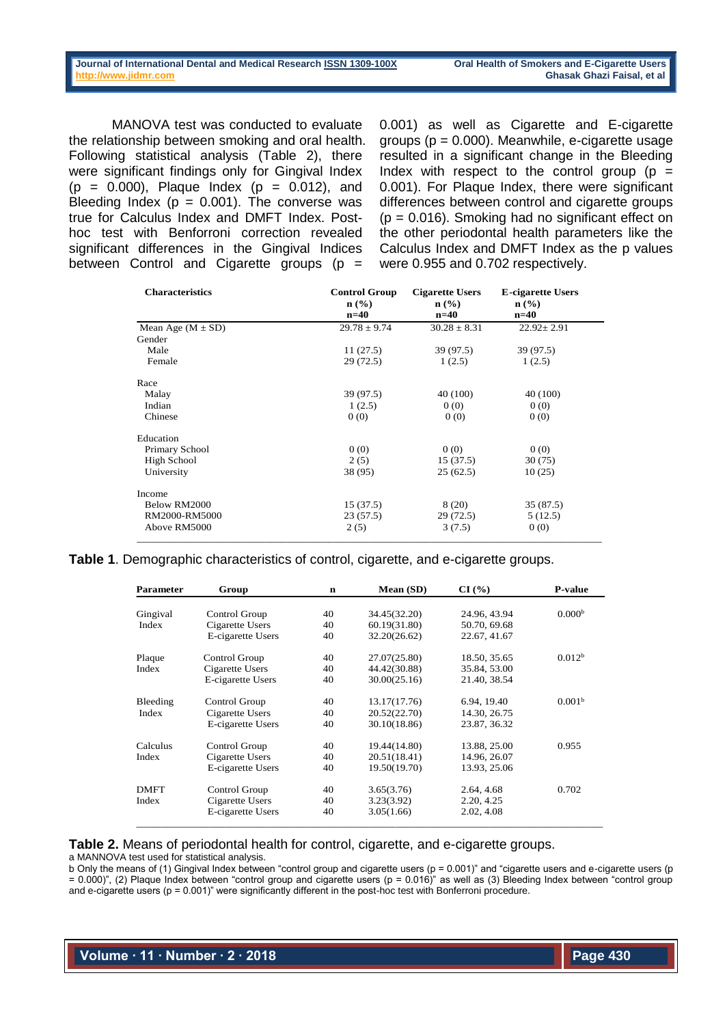MANOVA test was conducted to evaluate the relationship between smoking and oral health. Following statistical analysis (Table 2), there were significant findings only for Gingival Index  $(p = 0.000)$ , Plaque Index  $(p = 0.012)$ , and Bleeding Index ( $p = 0.001$ ). The converse was true for Calculus Index and DMFT Index. Posthoc test with Benforroni correction revealed significant differences in the Gingival Indices between Control and Cigarette groups  $(p =$ 

0.001) as well as Cigarette and E-cigarette groups (p = 0.000). Meanwhile, e-cigarette usage resulted in a significant change in the Bleeding Index with respect to the control group ( $p =$ 0.001). For Plaque Index, there were significant differences between control and cigarette groups  $(p = 0.016)$ . Smoking had no significant effect on the other periodontal health parameters like the Calculus Index and DMFT Index as the p values were 0.955 and 0.702 respectively.

| <b>Characteristics</b> | <b>Control Group</b><br>$\mathbf{n}(\%)$ | <b>Cigarette Users</b><br>$n$ (%) | <b>E-cigarette Users</b><br>$\mathbf{n}(\%)$ |  |
|------------------------|------------------------------------------|-----------------------------------|----------------------------------------------|--|
|                        | n=40                                     | $n=40$                            | $n=40$                                       |  |
| Mean Age $(M \pm SD)$  | $29.78 \pm 9.74$                         | $30.28 \pm 8.31$                  | $22.92 \pm 2.91$                             |  |
| Gender                 |                                          |                                   |                                              |  |
| Male                   | 11(27.5)                                 | 39 (97.5)                         | 39 (97.5)                                    |  |
| Female                 | 29 (72.5)                                | 1(2.5)                            | 1(2.5)                                       |  |
| Race                   |                                          |                                   |                                              |  |
| Malay                  | 39 (97.5)                                | 40 (100)                          | 40 (100)                                     |  |
| Indian                 | 1(2.5)                                   | 0(0)                              | 0(0)                                         |  |
| Chinese                | 0(0)                                     | 0(0)                              | 0(0)                                         |  |
| Education              |                                          |                                   |                                              |  |
| Primary School         | 0(0)                                     | 0(0)                              | 0(0)                                         |  |
| High School            | 2(5)                                     | 15(37.5)                          | 30 (75)                                      |  |
| University             | 38 (95)                                  | 25(62.5)                          | 10(25)                                       |  |
| Income                 |                                          |                                   |                                              |  |
| Below RM2000           | 15(37.5)                                 | 8 (20)                            | 35 (87.5)                                    |  |
| RM2000-RM5000          | 23 (57.5)                                | 29 (72.5)                         | 5(12.5)                                      |  |
| Above RM5000           | 2(5)                                     | 3(7.5)                            | 0(0)                                         |  |

**Table 1**. Demographic characteristics of control, cigarette, and e-cigarette groups.

| <b>Parameter</b> | Group             | n  | Mean (SD)    | CI(%)        | <b>P-value</b>     |
|------------------|-------------------|----|--------------|--------------|--------------------|
| Gingival         | Control Group     | 40 | 34.45(32.20) | 24.96, 43.94 | 0.000 <sup>b</sup> |
| Index            | Cigarette Users   | 40 | 60.19(31.80) | 50.70, 69.68 |                    |
|                  |                   |    |              |              |                    |
|                  | E-cigarette Users | 40 | 32.20(26.62) | 22.67, 41.67 |                    |
| Plaque           | Control Group     | 40 | 27.07(25.80) | 18.50, 35.65 | 0.012 <sup>b</sup> |
| Index            | Cigarette Users   | 40 | 44.42(30.88) | 35.84, 53.00 |                    |
|                  | E-cigarette Users | 40 | 30.00(25.16) | 21.40, 38.54 |                    |
| Bleeding         | Control Group     | 40 | 13.17(17.76) | 6.94, 19.40  | 0.001 <sup>b</sup> |
| Index            | Cigarette Users   | 40 | 20.52(22.70) | 14.30, 26.75 |                    |
|                  | E-cigarette Users | 40 | 30.10(18.86) | 23.87, 36.32 |                    |
| Calculus         | Control Group     | 40 | 19.44(14.80) | 13.88, 25.00 | 0.955              |
| Index            | Cigarette Users   | 40 | 20.51(18.41) | 14.96, 26.07 |                    |
|                  | E-cigarette Users | 40 | 19.50(19.70) | 13.93, 25.06 |                    |
| <b>DMFT</b>      | Control Group     | 40 | 3.65(3.76)   | 2.64, 4.68   | 0.702              |
|                  |                   |    |              |              |                    |
| Index            | Cigarette Users   | 40 | 3.23(3.92)   | 2.20, 4.25   |                    |
|                  | E-cigarette Users | 40 | 3.05(1.66)   | 2.02, 4.08   |                    |

## **Table 2.** Means of periodontal health for control, cigarette, and e-cigarette groups.

a MANNOVA test used for statistical analysis.

b Only the means of (1) Gingival Index between "control group and cigarette users (p = 0.001)" and "cigarette users and e-cigarette users (p = 0.000)", (2) Plaque Index between "control group and cigarette users (p = 0.016)" as well as (3) Bleeding Index between "control group and e-cigarette users (p = 0.001)" were significantly different in the post-hoc test with Bonferroni procedure.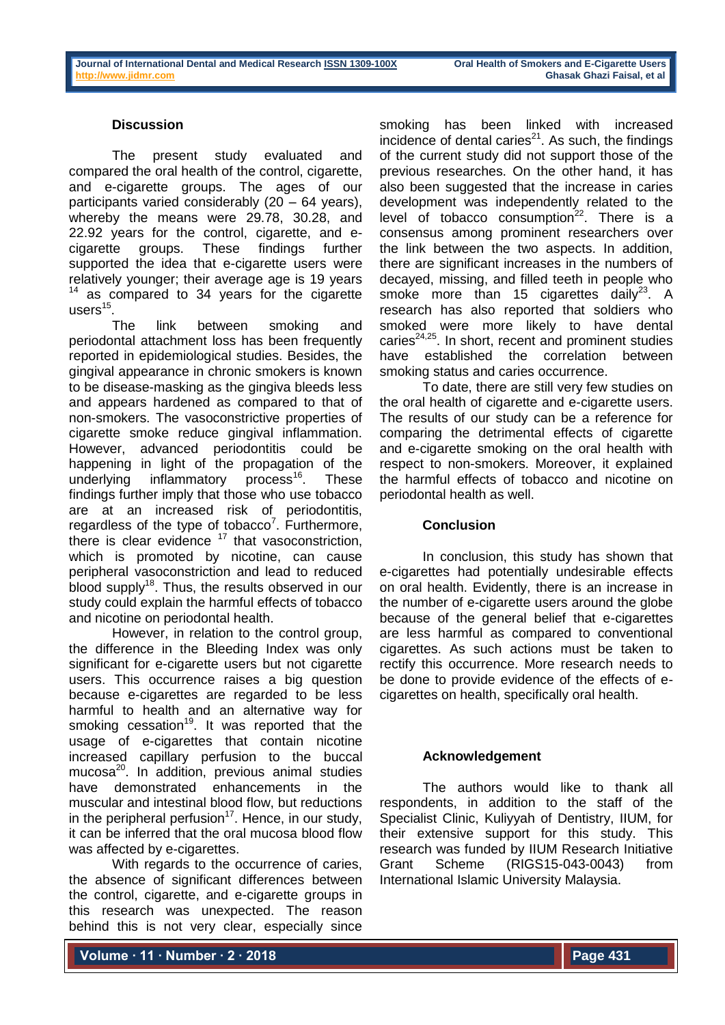## **Discussion**

The present study evaluated and compared the oral health of the control, cigarette, and e-cigarette groups. The ages of our participants varied considerably (20 – 64 years), whereby the means were 29.78, 30.28, and 22.92 years for the control, cigarette, and ecigarette groups. These findings further supported the idea that e-cigarette users were relatively younger; their average age is 19 years  $14$  as compared to 34 years for the cigarette users $^{15}$ .

The link between smoking and periodontal attachment loss has been frequently reported in epidemiological studies. Besides, the gingival appearance in chronic smokers is known to be disease-masking as the gingiva bleeds less and appears hardened as compared to that of non-smokers. The vasoconstrictive properties of cigarette smoke reduce gingival inflammation. However, advanced periodontitis could be happening in light of the propagation of the underlying inflammatory process<sup>16</sup>. These findings further imply that those who use tobacco are at an increased risk of periodontitis, regardless of the type of tobacco<sup>7</sup>. Furthermore, there is clear evidence  $17$  that vasoconstriction, which is promoted by nicotine, can cause peripheral vasoconstriction and lead to reduced blood supply<sup>18</sup>. Thus, the results observed in our study could explain the harmful effects of tobacco and nicotine on periodontal health.

However, in relation to the control group, the difference in the Bleeding Index was only significant for e-cigarette users but not cigarette users. This occurrence raises a big question because e-cigarettes are regarded to be less harmful to health and an alternative way for smoking cessation<sup>19</sup>. It was reported that the usage of e-cigarettes that contain nicotine increased capillary perfusion to the buccal mucosa<sup>20</sup>. In addition, previous animal studies have demonstrated enhancements in the muscular and intestinal blood flow, but reductions in the peripheral perfusion<sup>17</sup>. Hence, in our study, it can be inferred that the oral mucosa blood flow was affected by e-cigarettes.

With regards to the occurrence of caries, the absence of significant differences between the control, cigarette, and e-cigarette groups in this research was unexpected. The reason behind this is not very clear, especially since

smoking has been linked with increased incidence of dental caries $21$ . As such, the findings of the current study did not support those of the previous researches. On the other hand, it has also been suggested that the increase in caries development was independently related to the level of tobacco consumption $^{22}$ . There is a consensus among prominent researchers over the link between the two aspects. In addition, there are significant increases in the numbers of decayed, missing, and filled teeth in people who smoke more than 15 cigarettes daily<sup>23</sup>. A research has also reported that soldiers who smoked were more likely to have dental caries $24,25$ . In short, recent and prominent studies have established the correlation between smoking status and caries occurrence.

To date, there are still very few studies on the oral health of cigarette and e-cigarette users. The results of our study can be a reference for comparing the detrimental effects of cigarette and e-cigarette smoking on the oral health with respect to non-smokers. Moreover, it explained the harmful effects of tobacco and nicotine on periodontal health as well.

## **Conclusion**

In conclusion, this study has shown that e-cigarettes had potentially undesirable effects on oral health. Evidently, there is an increase in the number of e-cigarette users around the globe because of the general belief that e-cigarettes are less harmful as compared to conventional cigarettes. As such actions must be taken to rectify this occurrence. More research needs to be done to provide evidence of the effects of ecigarettes on health, specifically oral health.

#### **Acknowledgement**

The authors would like to thank all respondents, in addition to the staff of the Specialist Clinic, Kuliyyah of Dentistry, IIUM, for their extensive support for this study. This research was funded by IIUM Research Initiative Grant Scheme (RIGS15-043-0043) from International Islamic University Malaysia.